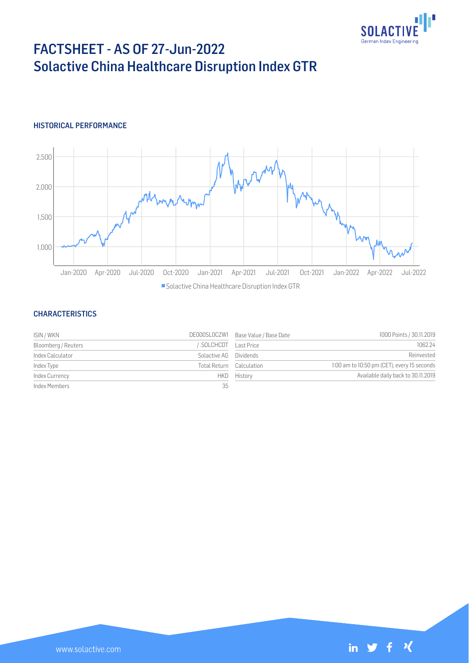

# FACTSHEET - AS OF 27-Jun-2022 Solactive China Healthcare Disruption Index GTR

## HISTORICAL PERFORMANCE



#### **CHARACTERISTICS**

| ISIN / WKN          |                          | DE000SLOCZW1 Base Value / Base Date | 1000 Points / 30.11.2019                    |
|---------------------|--------------------------|-------------------------------------|---------------------------------------------|
| Bloomberg / Reuters | SOLCHCDT Last Price      |                                     | 1062.24                                     |
| Index Calculator    | Solactive AG Dividends   |                                     | Reinvested                                  |
| Index Type          | Total Return Calculation |                                     | 1:00 am to 10:50 pm (CET), every 15 seconds |
| Index Currency      |                          | HKD History                         | Available daily back to 30.11.2019          |
| Index Members       | 35                       |                                     |                                             |

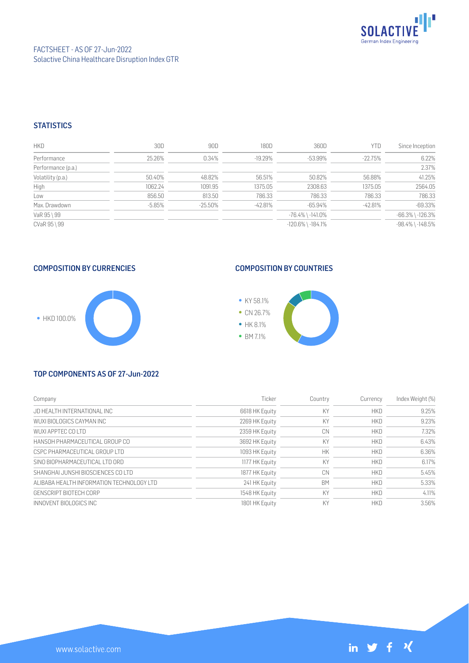

## **STATISTICS**

| <b>HKD</b>         | 30D      | 90D        | 180D      | 360D                    | <b>YTD</b> | Since Inception        |
|--------------------|----------|------------|-----------|-------------------------|------------|------------------------|
| Performance        | 25.26%   | 0.34%      | $-19.29%$ | $-53.99\%$              | $-22.75%$  | 6.22%                  |
| Performance (p.a.) |          |            |           |                         |            | 2.37%                  |
| Volatility (p.a.)  | 50.40%   | 48.82%     | 56.51%    | 50.82%                  | 56.88%     | 41.25%                 |
| High               | 1062.24  | 1091.95    | 1375.05   | 2308.63                 | 1375.05    | 2564.05                |
| Low                | 856.50   | 813.50     | 786.33    | 786.33                  | 786.33     | 786.33                 |
| Max. Drawdown      | $-5.85%$ | $-25.50\%$ | $-42.81%$ | $-65.94%$               | $-42.81%$  | $-69.33%$              |
| VaR 95 \ 99        |          |            |           | $-76.4\%$ \ $-141.0\%$  |            | $-66.3\%$ \ $-126.3\%$ |
| CVaR 95 \ 99       |          |            |           | $-120.6\%$ \ $-184.1\%$ |            | $-98.4\%$ \ $-148.5\%$ |

# COMPOSITION BY CURRENCIES



# COMPOSITION BY COUNTRIES



#### TOP COMPONENTS AS OF 27-Jun-2022

| Company                                   | Ticker         | Country   | Currency   | Index Weight (%) |
|-------------------------------------------|----------------|-----------|------------|------------------|
| JD HEALTH INTERNATIONAL INC               | 6618 HK Equity | KY        | <b>HKD</b> | 9.25%            |
| WUXI BIOLOGICS CAYMAN INC                 | 2269 HK Equity | KY        | <b>HKD</b> | 9.23%            |
| WUXLAPPTEC COLTD                          | 2359 HK Equity | CN        | <b>HKD</b> | 7.32%            |
| HANSOH PHARMACEUTICAL GROUP CO            | 3692 HK Equity | KY        | <b>HKD</b> | 6.43%            |
| CSPC PHARMACEUTICAL GROUP LTD             | 1093 HK Equity | НK        | <b>HKD</b> | 6.36%            |
| SINO BIOPHARMACEUTICAL LTD ORD            | 1177 HK Equity | KY        | <b>HKD</b> | 6.17%            |
| SHANGHALJUNSHI BIOSCIENCES COLTD          | 1877 HK Equity | CN        | <b>HKD</b> | 5.45%            |
| ALIBABA HEALTH INFORMATION TECHNOLOGY LTD | 241 HK Equity  | <b>BM</b> | <b>HKD</b> | 5.33%            |
| GENSCRIPT BIOTECH CORP                    | 1548 HK Equity | KY        | <b>HKD</b> | 4.11%            |
| INNOVENT BIOLOGICS INC                    | 1801 HK Equity | KY        | <b>HKD</b> | 3.56%            |